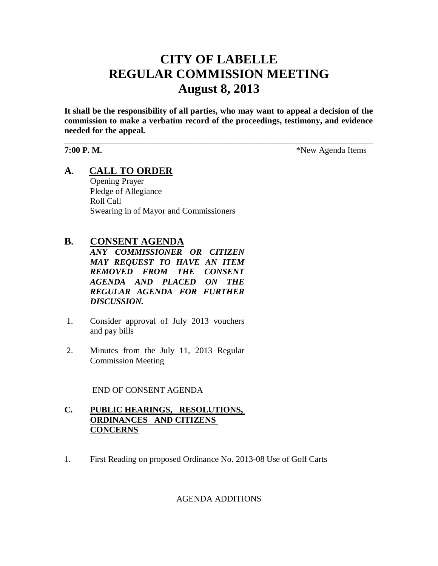# **CITY OF LABELLE REGULAR COMMISSION MEETING August 8, 2013**

**It shall be the responsibility of all parties, who may want to appeal a decision of the commission to make a verbatim record of the proceedings, testimony, and evidence needed for the appeal.**

\_\_\_\_\_\_\_\_\_\_\_\_\_\_\_\_\_\_\_\_\_\_\_\_\_\_\_\_\_\_\_\_\_\_\_\_\_\_\_\_\_\_\_\_\_\_\_\_\_\_\_\_\_\_\_\_\_\_\_\_\_\_\_\_\_\_\_\_\_\_\_\_

**7:00 P. M.**  $*$ New Agenda Items

## **A. CALL TO ORDER**

Opening Prayer Pledge of Allegiance Roll Call Swearing in of Mayor and Commissioners

### **B. CONSENT AGENDA**

*ANY COMMISSIONER OR CITIZEN MAY REQUEST TO HAVE AN ITEM REMOVED FROM THE CONSENT AGENDA AND PLACED ON THE REGULAR AGENDA FOR FURTHER DISCUSSION.*

- 1. Consider approval of July 2013 vouchers and pay bills
- 2. Minutes from the July 11, 2013 Regular Commission Meeting

END OF CONSENT AGENDA

#### **C. PUBLIC HEARINGS, RESOLUTIONS, ORDINANCES AND CITIZENS CONCERNS**

1. First Reading on proposed Ordinance No. 2013-08 Use of Golf Carts

#### AGENDA ADDITIONS